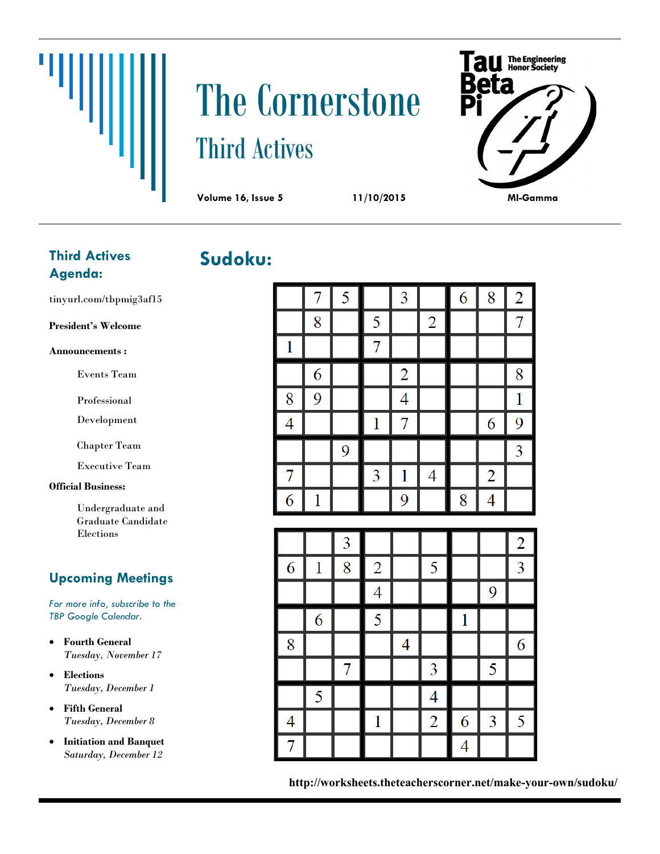# Щ

# The Cornerstone Third Actives



**Sudoku:**

#### **Third Actives Agenda:**

tinyurl.com/tbpmig3af15

**President's Welcome**

**Announcements :**

Events Team

Professional

Development

Chapter Team

Executive Team

#### **Official Business:**

Undergraduate and Graduate Candidate Elections

#### **Upcoming Meetings**

*For more info, subscribe to the TBP Google Calendar.*

- **Fourth General** *Tuesday, November 17*
- **Elections** *Tuesday, December 1*
- **Fifth General** *Tuesday, December 8*
- **Initiation and Banquet** *Saturday, December 12*

|                | 7            | 5                        |                | 3              |                | 6            | 8              | $\overline{2}$ |
|----------------|--------------|--------------------------|----------------|----------------|----------------|--------------|----------------|----------------|
|                | 8            |                          | 5              |                | $\overline{c}$ |              |                | $\overline{7}$ |
| $\mathbf{1}$   |              |                          | $\overline{7}$ |                |                |              |                |                |
|                | 6            |                          |                | $\overline{c}$ |                |              |                | 8              |
| 8              | 9            |                          |                | 4              |                |              |                | $\mathbf 1$    |
| $\overline{4}$ |              |                          | 1              | $\overline{7}$ |                |              | 6              | 9              |
|                |              | 9                        |                |                |                |              |                | 3              |
| 7              |              |                          | 3              | $\mathbf{1}$   | 4              |              | $\overline{2}$ |                |
| 6              | $\mathbf{1}$ |                          |                | 9              |                | 8            | $\overline{4}$ |                |
|                |              |                          |                |                |                |              |                |                |
|                |              |                          |                |                |                |              |                |                |
|                |              | 3                        |                |                |                |              |                | $\overline{2}$ |
| 6              | 1            | 8                        | $\overline{2}$ |                | 5              |              |                | 3              |
|                |              |                          | 4              |                |                |              | 9              |                |
|                | 6            |                          | 5              |                |                | $\mathbf{1}$ |                |                |
| 8              |              |                          |                | 4              |                |              |                | 6              |
|                |              | $\overline{\mathcal{I}}$ |                |                | $\overline{3}$ |              | 5              |                |
|                | 5            |                          |                |                | $\overline{4}$ |              |                |                |
| 4              |              |                          | $\mathbf 1$    |                | $\overline{2}$ | 6            | 3              | 5              |

**http://worksheets.theteacherscorner.net/make-your-own/sudoku/**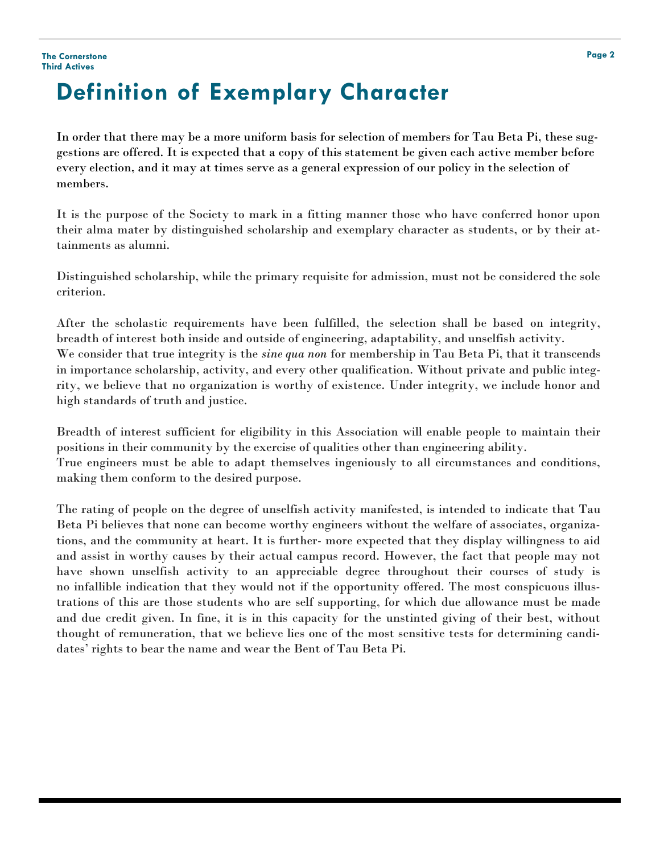# **Definition of Exemplary Character**

In order that there may be a more uniform basis for selection of members for Tau Beta Pi, these suggestions are offered. It is expected that a copy of this statement be given each active member before every election, and it may at times serve as a general expression of our policy in the selection of members.

It is the purpose of the Society to mark in a fitting manner those who have conferred honor upon their alma mater by distinguished scholarship and exemplary character as students, or by their attainments as alumni.

Distinguished scholarship, while the primary requisite for admission, must not be considered the sole criterion.

After the scholastic requirements have been fulfilled, the selection shall be based on integrity, breadth of interest both inside and outside of engineering, adaptability, and unselfish activity. We consider that true integrity is the *sine qua non* for membership in Tau Beta Pi, that it transcends in importance scholarship, activity, and every other qualification. Without private and public integrity, we believe that no organization is worthy of existence. Under integrity, we include honor and high standards of truth and justice.

Breadth of interest sufficient for eligibility in this Association will enable people to maintain their positions in their community by the exercise of qualities other than engineering ability. True engineers must be able to adapt themselves ingeniously to all circumstances and conditions, making them conform to the desired purpose.

The rating of people on the degree of unselfish activity manifested, is intended to indicate that Tau Beta Pi believes that none can become worthy engineers without the welfare of associates, organizations, and the community at heart. It is further- more expected that they display willingness to aid and assist in worthy causes by their actual campus record. However, the fact that people may not have shown unselfish activity to an appreciable degree throughout their courses of study is no infallible indication that they would not if the opportunity offered. The most conspicuous illustrations of this are those students who are self supporting, for which due allowance must be made and due credit given. In fine, it is in this capacity for the unstinted giving of their best, without thought of remuneration, that we believe lies one of the most sensitive tests for determining candidates' rights to bear the name and wear the Bent of Tau Beta Pi.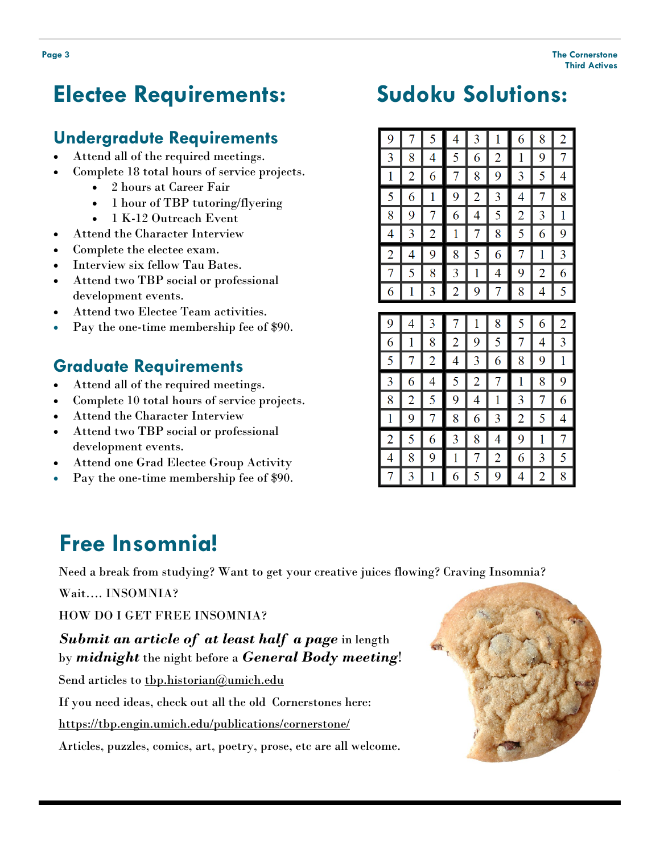## **Electee Requirements:**

#### **Undergradute Requirements**

- Attend all of the required meetings.
- Complete 18 total hours of service projects.
	- 2 hours at Career Fair
	- 1 hour of TBP tutoring/flyering
	- 1 K-12 Outreach Event
- Attend the Character Interview
- Complete the electee exam.
- Interview six fellow Tau Bates.
- Attend two TBP social or professional development events.
- Attend two Electee Team activities.
- Pay the one-time membership fee of \$90.

#### **Graduate Requirements**

- Attend all of the required meetings.
- Complete 10 total hours of service projects.
- Attend the Character Interview
- Attend two TBP social or professional development events.
- Attend one Grad Electee Group Activity
- Pay the one-time membership fee of \$90.

### **Free Insomnia!**

Need a break from studying? Want to get your creative juices flowing? Craving Insomnia?

Wait…. INSOMNIA?

HOW DO I GET FREE INSOMNIA?

#### *Submit an article of at least half a page* in length by *midnight* the night before a *General Body meeting*!

Send articles to thp.historian@umich.edu

If you need ideas, check out all the old Cornerstones here:

<https://tbp.engin.umich.edu/publications/cornerstone/>

Articles, puzzles, comics, art, poetry, prose, etc are all welcome.



# **Sudoku Solutions:**